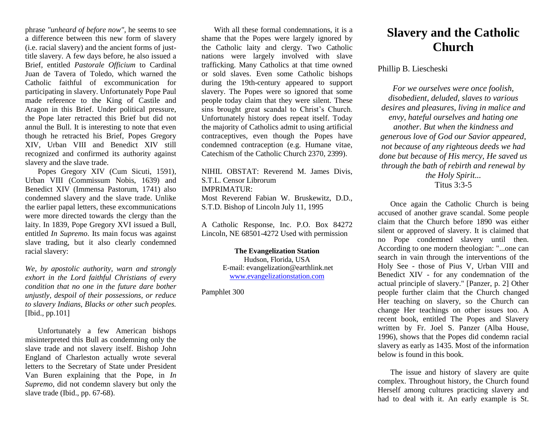phrase *"unheard of before now"*, he seems to see a difference between this new form of slavery (i.e. racial slavery) and the ancient forms of justtitle slavery. A few days before, he also issued a Brief, entitled *Pastorale Officium* to Cardinal Juan de Tavera of Toledo, which warned the Catholic faithful of excommunication for participating in slavery. Unfortunately Pope Paul made reference to the King of Castile and Aragon in this Brief. Under political pressure, the Pope later retracted this Brief but did not annul the Bull. It is interesting to note that even though he retracted his Brief, Popes Gregory XIV, Urban VIII and Benedict XIV still recognized and confirmed its authority against slavery and the slave trade.

Popes Gregory XIV (Cum Sicuti, 1591), Urban VIII (Commissum Nobis, 1639) and Benedict XIV (Immensa Pastorum, 1741) also condemned slavery and the slave trade. Unlike the earlier papal letters, these excommunications were more directed towards the clergy than the laity. In 1839, Pope Gregory XVI issued a Bull, entitled *In Supremo*. Its main focus was against slave trading, but it also clearly condemned racial slavery:

*We, by apostolic authority, warn and strongly exhort in the Lord faithful Christians of every condition that no one in the future dare bother unjustly, despoil of their possessions, or reduce to slavery Indians, Blacks or other such peoples.* [Ibid., pp.101]

Unfortunately a few American bishops misinterpreted this Bull as condemning only the slave trade and not slavery itself. Bishop John England of Charleston actually wrote several letters to the Secretary of State under President Van Buren explaining that the Pope, in *In Supremo*, did not condemn slavery but only the slave trade (Ibid., pp. 67-68).

With all these formal condemnations, it is a shame that the Popes were largely ignored by the Catholic laity and clergy. Two Catholic nations were largely involved with slave trafficking. Many Catholics at that time owned or sold slaves. Even some Catholic bishops during the 19th-century appeared to support slavery. The Popes were so ignored that some people today claim that they were silent. These sins brought great scandal to Christ's Church. Unfortunately history does repeat itself. Today the majority of Catholics admit to using artificial contraceptives, even though the Popes have condemned contraception (e.g. Humane vitae, Catechism of the Catholic Church 2370, 2399).

NIHIL OBSTAT: Reverend M. James Divis, S.T.L. Censor Librorum IMPRIMATUR: Most Reverend Fabian W. Bruskewitz, D.D., S.T.D. Bishop of Lincoln July 11, 1995

A Catholic Response, Inc. P.O. Box 84272 Lincoln, NE 68501-4272 Used with permission

> **The Evangelization Station** Hudson, Florida, USA E-mail: evangelization@earthlink.net [www.evangelizationstation.com](http://www.pjpiisoe.org/)

Pamphlet 300

## **Slavery and the Catholic Church**

## Phillip B. Liescheski

*For we ourselves were once foolish, disobedient, deluded, slaves to various desires and pleasures, living in malice and envy, hateful ourselves and hating one another. But when the kindness and generous love of God our Savior appeared, not because of any righteous deeds we had done but because of His mercy, He saved us through the bath of rebirth and renewal by the Holy Spirit...* Titus 3:3-5

Once again the Catholic Church is being accused of another grave scandal. Some people claim that the Church before 1890 was either silent or approved of slavery. It is claimed that no Pope condemned slavery until then. According to one modern theologian: "...one can search in vain through the interventions of the Holy See - those of Pius V, Urban VIII and Benedict XIV - for any condemnation of the actual principle of slavery." [Panzer, p. 2] Other people further claim that the Church changed Her teaching on slavery, so the Church can change Her teachings on other issues too. A recent book, entitled The Popes and Slavery written by Fr. Joel S. Panzer (Alba House, 1996), shows that the Popes did condemn racial slavery as early as 1435. Most of the information below is found in this book.

The issue and history of slavery are quite complex. Throughout history, the Church found Herself among cultures practicing slavery and had to deal with it. An early example is St.